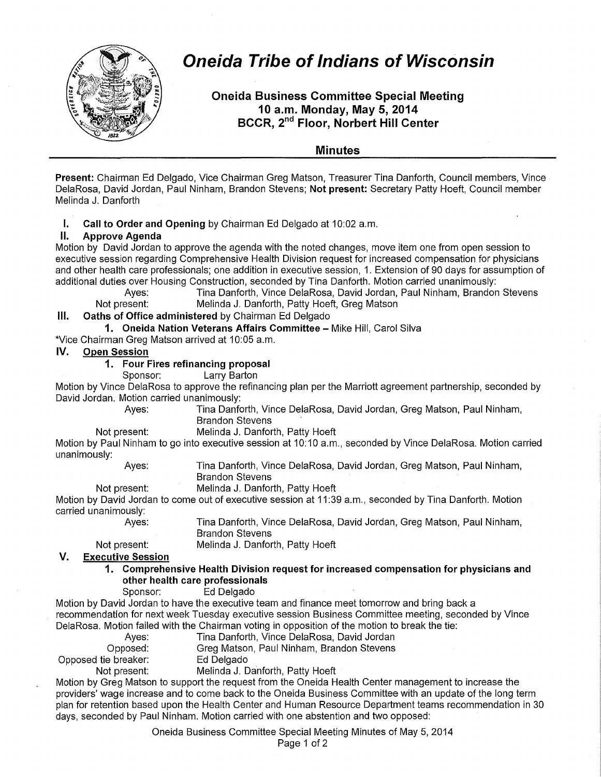

# **Oneida Tribe of Indians of Wisconsin**

**Oneida Business Committee Special Meeting 10 a.m. Monday, May 5, 2014 BCCR, 2nd Floor, Norbert Hill Center** 

# **Minutes**

**Present:** Chairman Ed Delgado, Vice Chairman Greg Matson, Treasurer Tina Danforth, Council members, Vince DelaRosa, David Jordan, Paul Ninham, Brandon Stevens; **Not present:** Secretary Patty Hoeft, Council member Melinda J. Danforth

**I. Call to Order and Opening** by Chairman Ed Delgado at 10:02 a.m.

# **II. Approve Agenda**

Motion by David Jordan to approve the agenda with the noted changes, move item one from open session to executive session regarding Comprehensive Health Division request for increased compensation for physicians and other health care professionals; one addition in executive session, 1. Extension of 90 days for assumption of additional duties over Housing Construction, seconded by Tina Danforth. Motion carried unanimously:<br>Tina Danforth, Vince DelaRosa, David Jordan, Paul Ninham, Brandor

Tina Danforth, Vince DelaRosa, David Jordan, Paul Ninham, Brandon Stevens Not present: Melinda J. Danforth, Patty Hoeft, Greg Matson

# **Ill. Oaths of Office administered** by Chairman Ed Delgado

**1. Oneida Nation Veterans Affairs Committee-** Mike Hill, Carol Silva

\*Vice Chairman Greg Matson arrived at 10:05 a.m.

## **IV. Open Session**

# **1. Four Fires refinancing proposal**

Sponsor: Larry Barton

Motion by Vince DelaRosa to approve the refinancing plan per the Marriott agreement partnership, seconded by David Jordan. Motion carried unanimously:

Ayes: Tina Danforth, Vince DelaRosa, David Jordan, Greg Matson, Paul Ninham, Brandon Stevens

Not present: Melinda J. Danforth, Patty Hoeft

Motion by Paul Ninham to go into executive session at 10:10 a.m., seconded by Vince DelaRosa. Motion carried unanimously:

Ayes: Tina Danforth, Vince DelaRosa, David Jordan, Greg Matson, Paul Ninham, Brandon Stevens

Not present: Melinda J. Danforth, Patty Hoeft

Motion by David Jordan to come out of executive session at 11:39 a.m., seconded by Tina Danforth. Motion carried unanimously: Tina Danforth, Vince DelaRosa, David Jordan, Greg Matson, Paul Ninham,

Ayes:

Brandon Stevens Melinda J. Danforth, Patty Hoeft

Not present: **V. Executive Session** 

> **1. Comprehensive Health Division request for increased compensation for physicians and other health care professionals**

Sponsor: Ed Delgado

Motion by David Jordan to have the executive team and finance meet tomorrow and bring back a recommendation for next week Tuesday executive session Business Committee meeting, seconded by Vince DelaRosa. Motion failed with the Chairman voting in opposition of the motion to break the tie:

Ayes: Tina Danforth, Vince DelaRosa, David Jordan Opposed: Greg Matson, Paul Ninham, Brandon Stevens<br>e breaker: Ed Delgado Opposed tie breaker: Not present: Melinda J. Danforth, Patty Hoeft

Motion by Greg Matson to support the request from the Oneida Health Center management to increase the providers' wage increase and to come back to the Oneida Business Committee with an update of the long term plan for retention based upon the Health Center and Human Resource Department teams recommendation in 30 days, seconded by Paul Ninham. Motion carried with one abstention and two opposed:

> Oneida Business Committee Special Meeting Minutes of May 5, 2014 Page 1 of 2